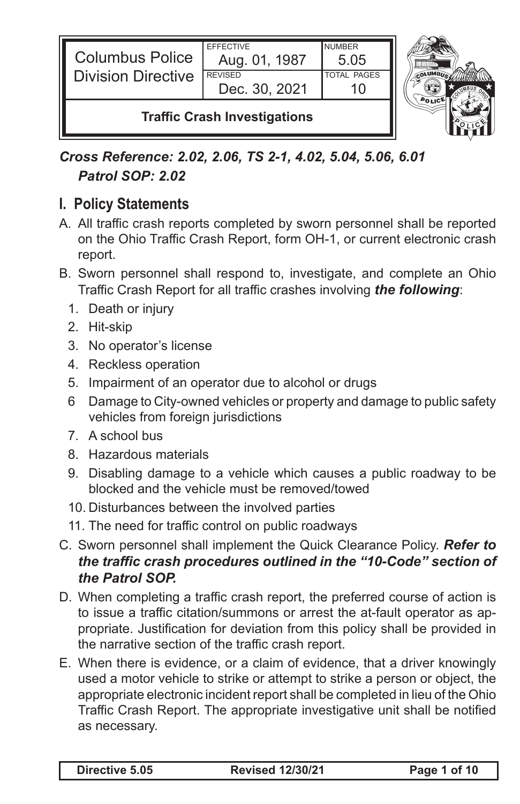| <b>Columbus Police</b><br><b>Division Directive</b> | <b>EFFECTIVE</b><br>Aug. 01, 1987 | <b>NUMBER</b><br>5.05 |  |
|-----------------------------------------------------|-----------------------------------|-----------------------|--|
|                                                     | <b>REVISED</b><br>Dec. 30, 2021   | <b>TOTAL PAGES</b>    |  |
| <b>Traffic Crash Investigations</b>                 |                                   |                       |  |

*Cross Reference: 2.02, 2.06, TS 2-1, 4.02, 5.04, 5.06, 6.01 Patrol SOP: 2.02*

## **I. Policy Statements**

- A. All traffic crash reports completed by sworn personnel shall be reported on the Ohio Traffic Crash Report, form OH-1, or current electronic crash report.
- B. Sworn personnel shall respond to, investigate, and complete an Ohio Traffic Crash Report for all traffic crashes involving *the following*:
	- 1. Death or injury
	- 2. Hit-skip
	- 3. No operator's license
	- 4. Reckless operation
	- 5. Impairment of an operator due to alcohol or drugs
	- 6 Damage to City-owned vehicles or property and damage to public safety vehicles from foreign jurisdictions
	- 7. A school bus
	- 8. Hazardous materials
	- 9. Disabling damage to a vehicle which causes a public roadway to be blocked and the vehicle must be removed/towed
	- 10. Disturbances between the involved parties
	- 11. The need for traffic control on public roadways
- C. Sworn personnel shall implement the Quick Clearance Policy. *Refer to the traffic crash procedures outlined in the "10-Code" section of the Patrol SOP.*
- D. When completing a traffic crash report, the preferred course of action is to issue a traffic citation/summons or arrest the at-fault operator as appropriate. Justification for deviation from this policy shall be provided in the narrative section of the traffic crash report.
- E. When there is evidence, or a claim of evidence, that a driver knowingly used a motor vehicle to strike or attempt to strike a person or object, the appropriate electronic incident report shall be completed in lieu of the Ohio Traffic Crash Report. The appropriate investigative unit shall be notified as necessary.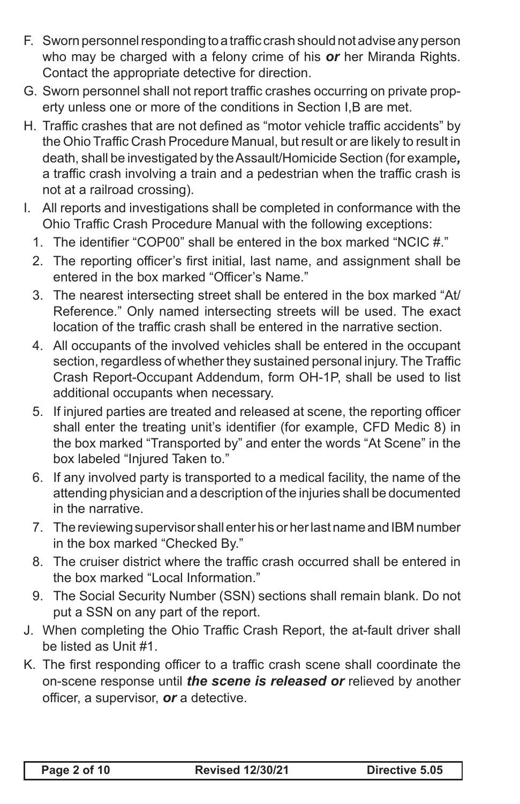- F. Sworn personnelresponding toa traffic crash should notadvise any person who may be charged with a felony crime of his *or* her Miranda Rights. Contact the appropriate detective for direction.
- G. Sworn personnel shall not report traffic crashes occurring on private property unless one or more of the conditions in Section I,B are met.
- H. Traffic crashes that are not defined as "motor vehicle traffic accidents" by the Ohio Traffic Crash Procedure Manual, but result or are likely to result in death, shall be investigated by theAssault/Homicide Section (for example*,* a traffic crash involving a train and a pedestrian when the traffic crash is not at a railroad crossing).
- I. All reports and investigations shall be completed in conformance with the Ohio Traffic Crash Procedure Manual with the following exceptions:
	- 1. The identifier "COP00" shall be entered in the box marked "NCIC #."
	- 2. The reporting officer's first initial, last name, and assignment shall be entered in the box marked "Officer's Name."
	- 3. The nearest intersecting street shall be entered in the box marked "At/ Reference." Only named intersecting streets will be used. The exact location of the traffic crash shall be entered in the narrative section.
	- 4. All occupants of the involved vehicles shall be entered in the occupant section, regardless of whether they sustained personal injury.The Traffic Crash Report-Occupant Addendum, form OH-1P, shall be used to list additional occupants when necessary.
	- 5. If injured parties are treated and released at scene, the reporting officer shall enter the treating unit's identifier (for example, CFD Medic 8) in the box marked "Transported by" and enter the words "At Scene" in the box labeled "Injured Taken to."
	- 6. If any involved party is transported to a medical facility, the name of the attending physician and a description of the injuries shall be documented in the narrative.
	- 7. The reviewing supervisor shall enter his or her last name and IBM number in the box marked "Checked By."
	- 8. The cruiser district where the traffic crash occurred shall be entered in the box marked "Local Information."
	- 9. The Social Security Number (SSN) sections shall remain blank. Do not put a SSN on any part of the report.
- J. When completing the Ohio Traffic Crash Report, the at-fault driver shall be listed as Unit #1.
- K. The first responding officer to a traffic crash scene shall coordinate the on-scene response until *the scene is released or* relieved by another officer, a supervisor, *or* a detective.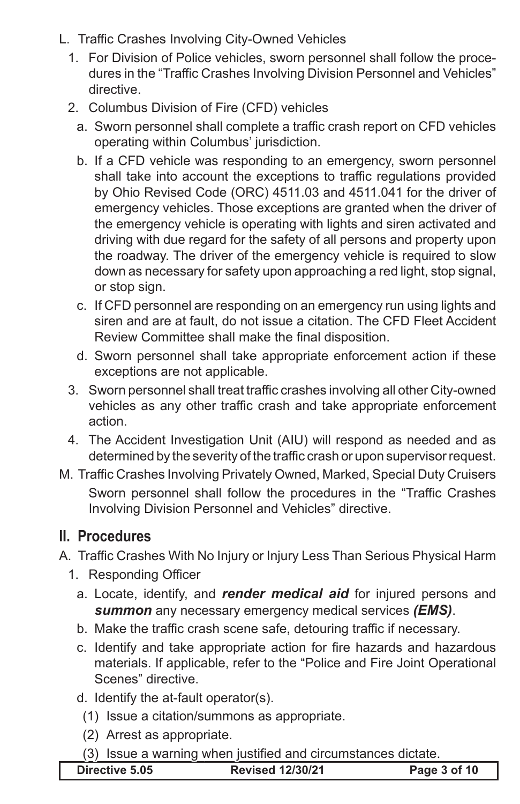- L. Traffic Crashes Involving City-Owned Vehicles
	- 1. For Division of Police vehicles, sworn personnel shall follow the procedures in the "Traffic Crashes Involving Division Personnel and Vehicles" directive.
	- 2. Columbus Division of Fire (CFD) vehicles
		- a. Sworn personnel shall complete a traffic crash report on CFD vehicles operating within Columbus' jurisdiction.
		- b. If a CFD vehicle was responding to an emergency, sworn personnel shall take into account the exceptions to traffic regulations provided by Ohio Revised Code (ORC) 4511.03 and 4511.041 for the driver of emergency vehicles. Those exceptions are granted when the driver of the emergency vehicle is operating with lights and siren activated and driving with due regard for the safety of all persons and property upon the roadway. The driver of the emergency vehicle is required to slow down as necessary for safety upon approaching a red light, stop signal, or stop sign.
		- c. If CFD personnel are responding on an emergency run using lights and siren and are at fault, do not issue a citation. The CFD Fleet Accident Review Committee shall make the final disposition.
		- d. Sworn personnel shall take appropriate enforcement action if these exceptions are not applicable.
	- 3. Sworn personnel shall treat traffic crashes involving all other City-owned vehicles as any other traffic crash and take appropriate enforcement action.
	- 4. The Accident Investigation Unit (AIU) will respond as needed and as determined by the severity of the traffic crash or upon supervisorrequest.
- M. Traffic Crashes Involving Privately Owned, Marked, Special Duty Cruisers Sworn personnel shall follow the procedures in the "Traffic Crashes Involving Division Personnel and Vehicles" directive.

## **II. Procedures**

- A. Traffic Crashes With No Injury or Injury Less Than Serious Physical Harm
	- 1. Responding Officer
		- a. Locate, identify, and *render medical aid* for injured persons and *summon* any necessary emergency medical services *(EMS)*.
		- b. Make the traffic crash scene safe, detouring traffic if necessary.
		- c. Identify and take appropriate action for fire hazards and hazardous materials. If applicable, refer to the "Police and Fire Joint Operational Scenes" directive.
		- d. Identify the at-fault operator(s).
			- (1) Issue a citation/summons as appropriate.
			- (2) Arrest as appropriate.
			- (3) Issue a warning when justified and circumstances dictate.

| Directive 5.05 | <b>Revised 12/30/21</b> | Page 3 of 10 |
|----------------|-------------------------|--------------|
|                |                         |              |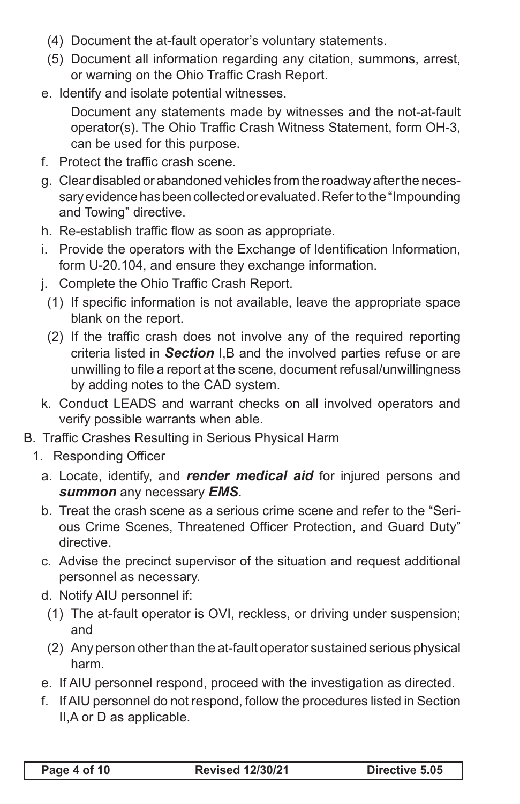- (4) Document the at-fault operator's voluntary statements.
- (5) Document all information regarding any citation, summons, arrest, or warning on the Ohio Traffic Crash Report.
- e. Identify and isolate potential witnesses.

 Document any statements made by witnesses and the not-at-fault operator(s). The Ohio Traffic Crash Witness Statement, form OH-3, can be used for this purpose.

- f. Protect the traffic crash scene.
- g. Clear disabled or abandoned vehicles from the roadway after the necessary evidence has been collected or evaluated. Refer to the "Impounding and Towing" directive.
- h. Re-establish traffic flow as soon as appropriate.
- i. Provide the operators with the Exchange of Identification Information, form U-20.104, and ensure they exchange information.
- j. Complete the Ohio Traffic Crash Report.
	- (1) If specific information is not available, leave the appropriate space blank on the report.
	- (2) If the traffic crash does not involve any of the required reporting criteria listed in *Section* I,B and the involved parties refuse or are unwilling to file a report at the scene, document refusal/unwillingness by adding notes to the CAD system.
- k. Conduct LEADS and warrant checks on all involved operators and verify possible warrants when able.
- B. Traffic Crashes Resulting in Serious Physical Harm
	- 1. Responding Officer
		- a. Locate, identify, and *render medical aid* for injured persons and *summon* any necessary *EMS*.
		- b. Treat the crash scene as a serious crime scene and refer to the "Serious Crime Scenes, Threatened Officer Protection, and Guard Duty" directive.
		- c. Advise the precinct supervisor of the situation and request additional personnel as necessary.
		- d. Notify AIU personnel if:
		- (1) The at-fault operator is OVI, reckless, or driving under suspension; and
		- (2) Any person other than the at-fault operator sustained serious physical harm.
		- e. If AIU personnel respond, proceed with the investigation as directed.
		- f. If AIU personnel do not respond, follow the procedures listed in Section II,A or D as applicable.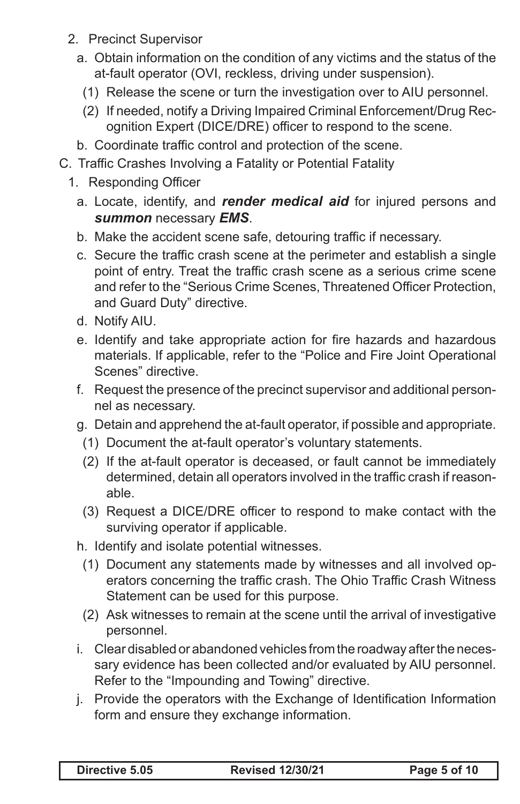- 2. Precinct Supervisor
	- a. Obtain information on the condition of any victims and the status of the at-fault operator (OVI, reckless, driving under suspension).
		- (1) Release the scene or turn the investigation over to AIU personnel.
		- (2) If needed, notify a Driving Impaired Criminal Enforcement/Drug Recognition Expert (DICE/DRE) officer to respond to the scene.
	- b. Coordinate traffic control and protection of the scene.
- C. Traffic Crashes Involving a Fatality or Potential Fatality
	- 1. Responding Officer
		- a. Locate, identify, and **render medical aid** for injured persons and *summon* necessary *EMS*.
		- b. Make the accident scene safe, detouring traffic if necessary.
		- c. Secure the traffic crash scene at the perimeter and establish a single point of entry. Treat the traffic crash scene as a serious crime scene and refer to the "Serious Crime Scenes, Threatened Officer Protection, and Guard Duty" directive.
		- d. Notify AIU.
		- e. Identify and take appropriate action for fire hazards and hazardous materials. If applicable, refer to the "Police and Fire Joint Operational Scenes" directive.
		- f. Request the presence of the precinct supervisor and additional personnel as necessary.
		- g. Detain and apprehend the at-fault operator, if possible and appropriate.
			- (1) Document the at-fault operator's voluntary statements.
			- (2) If the at-fault operator is deceased, or fault cannot be immediately determined, detain all operators involved in the traffic crash if reasonable.
			- (3) Request a DICE/DRE officer to respond to make contact with the surviving operator if applicable.
		- h. Identify and isolate potential witnesses.
			- (1) Document any statements made by witnesses and all involved operators concerning the traffic crash. The Ohio Traffic Crash Witness Statement can be used for this purpose.
			- (2) Ask witnesses to remain at the scene until the arrival of investigative personnel.
		- i. Clear disabled or abandoned vehicles from the roadway after the necessary evidence has been collected and/or evaluated by AIU personnel. Refer to the "Impounding and Towing" directive.
		- j. Provide the operators with the Exchange of Identification Information form and ensure they exchange information.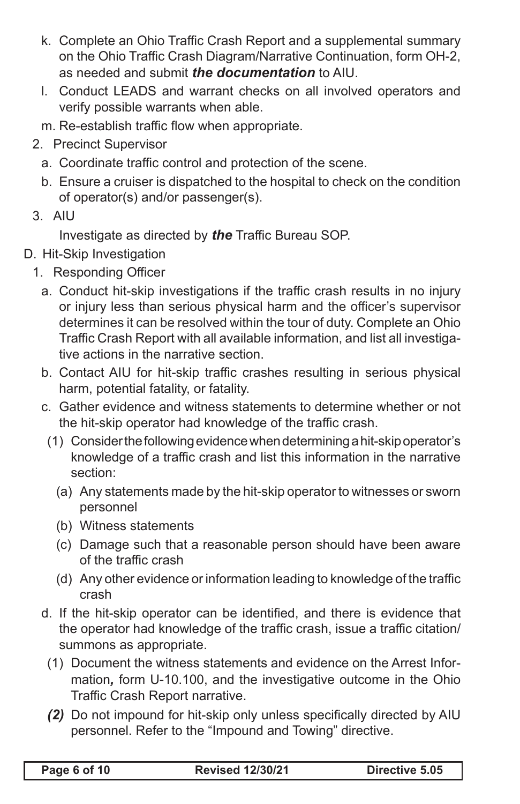- k. Complete an Ohio Traffic Crash Report and a supplemental summary on the Ohio Traffic Crash Diagram/Narrative Continuation, form OH-2, as needed and submit *the documentation* to AIU.
- I. Conduct LEADS and warrant checks on all involved operators and verify possible warrants when able.
- m. Re-establish traffic flow when appropriate.
- 2. Precinct Supervisor
	- a. Coordinate traffic control and protection of the scene.
	- b. Ensure a cruiser is dispatched to the hospital to check on the condition of operator(s) and/or passenger(s).
- 3. AIU

 Investigate as directed by *the* Traffic Bureau SOP.

- D. Hit-Skip Investigation
	- 1. Responding Officer
		- a. Conduct hit-skip investigations if the traffic crash results in no injury or injury less than serious physical harm and the officer's supervisor determines it can be resolved within the tour of duty. Complete an Ohio Traffic Crash Report with all available information, and list all investigative actions in the narrative section.
		- b. Contact AIU for hit-skip traffic crashes resulting in serious physical harm, potential fatality, or fatality.
		- c. Gather evidence and witness statements to determine whether or not the hit-skip operator had knowledge of the traffic crash.
			- (1) Consider the following evidence when determining a hit-skip operator's knowledge of a traffic crash and list this information in the narrative section:
				- (a) Any statements made by the hit-skip operator to witnesses or sworn personnel
				- (b) Witness statements
				- (c) Damage such that a reasonable person should have been aware of the traffic crash
				- (d) Any other evidence or information leading to knowledge of the traffic crash
		- d. If the hit-skip operator can be identified, and there is evidence that the operator had knowledge of the traffic crash, issue a traffic citation/ summons as appropriate.
			- (1) Document the witness statements and evidence on the Arrest Information*,* form U-10.100, and the investigative outcome in the Ohio Traffic Crash Report narrative.
			- *(2)* Do not impound for hit-skip only unless specifically directed by AIU personnel. Refer to the "Impound and Towing" directive.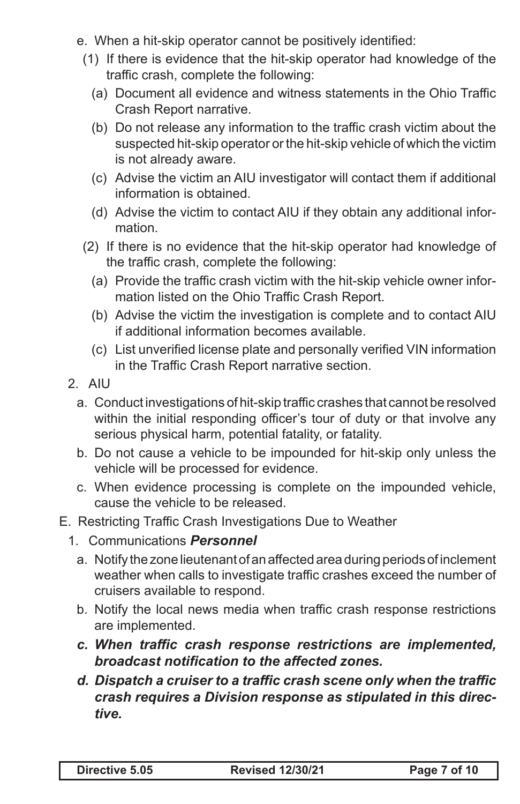- e. When a hit-skip operator cannot be positively identified:
	- (1) If there is evidence that the hit-skip operator had knowledge of the traffic crash, complete the following:
		- (a) Document all evidence and witness statements in the Ohio Traffic Crash Report narrative.
		- (b) Do not release any information to the traffic crash victim about the suspected hit-skip operator or the hit-skip vehicle of which the victim is not already aware.
		- (c) Advise the victim an AIU investigator will contact them if additional information is obtained.
		- (d) Advise the victim to contact AIU if they obtain any additional information.
	- (2) If there is no evidence that the hit-skip operator had knowledge of the traffic crash, complete the following:
		- (a) Provide the traffic crash victim with the hit-skip vehicle owner information listed on the Ohio Traffic Crash Report.
		- (b) Advise the victim the investigation is complete and to contact AIU if additional information becomes available.
		- (c) List unverified license plate and personally verified VIN information in the Traffic Crash Report narrative section.
- 2. AIU
	- a. Conduct investigations of hit-skip traffic crashes that cannot be resolved within the initial responding officer's tour of duty or that involve any serious physical harm, potential fatality, or fatality.
	- b. Do not cause a vehicle to be impounded for hit-skip only unless the vehicle will be processed for evidence.
	- c. When evidence processing is complete on the impounded vehicle, cause the vehicle to be released.
- E. Restricting Traffic Crash Investigations Due to Weather
	- 1. Communications *Personnel*
		- a. Notify the zone lieutenant of an affected area during periods of inclement weather when calls to investigate traffic crashes exceed the number of cruisers available to respond.
		- b. Notify the local news media when traffic crash response restrictions are implemented.
		- *c. When traffic crash response restrictions are implemented, broadcast notification to the affected zones.*
		- *d. Dispatch a cruiser to a traffic crash scene only when the traffic crash requires a Division response as stipulated in this directive.*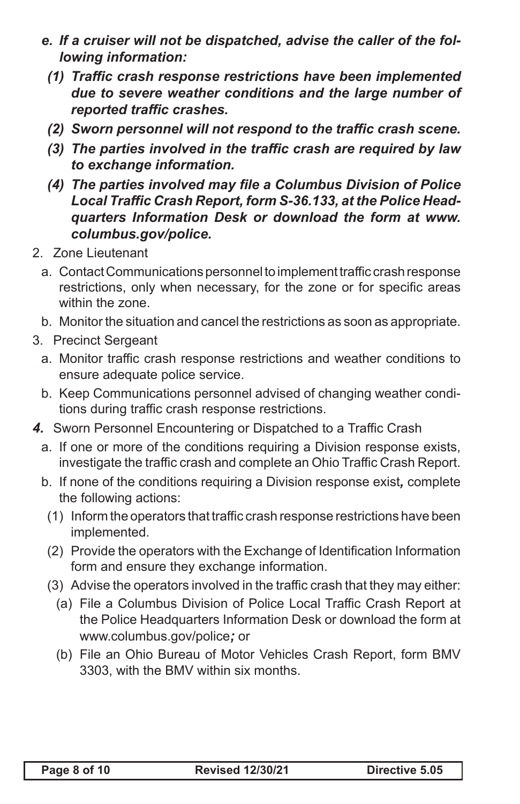- *e. If a cruiser will not be dispatched, advise the caller of the following information:*
	- *(1) Traffic crash response restrictions have been implemented due to severe weather conditions and the large number of reported traffic crashes.*
	- *(2) Sworn personnel will not respond to the traffic crash scene.*
	- *(3) The parties involved in the traffic crash are required by law to exchange information.*
	- *(4) The parties involved may file a Columbus Division of Police Local Traffic Crash Report, form S-36.133, at the Police Headquarters Information Desk or download the form at www. columbus.gov/police.*
- 2. Zone Lieutenant
	- a. Contact Communications personnel to implement traffic crash response restrictions, only when necessary, for the zone or for specific areas within the zone.
	- b. Monitor the situation and cancel the restrictions as soon as appropriate.
- 3. Precinct Sergeant
	- a. Monitor traffic crash response restrictions and weather conditions to ensure adequate police service.
	- b. Keep Communications personnel advised of changing weather conditions during traffic crash response restrictions.
- **4.** Sworn Personnel Encountering or Dispatched to a Traffic Crash
	- a. If one or more of the conditions requiring a Division response exists, investigate the traffic crash and complete an Ohio Traffic Crash Report.
	- b. If none of the conditions requiring a Division response exist*,* complete the following actions:
		- (1) Inform the operators that traffic crash response restrictions have been implemented.
	- (2) Provide the operators with the Exchange of Identification Information form and ensure they exchange information.
	- (3) Advise the operators involved in the traffic crash that they may either:
		- (a) File a Columbus Division of Police Local Traffic Crash Report at the Police Headquarters Information Desk or download the form at www.columbus.gov/police*;* or
		- (b) File an Ohio Bureau of Motor Vehicles Crash Report, form BMV 3303, with the BMV within six months.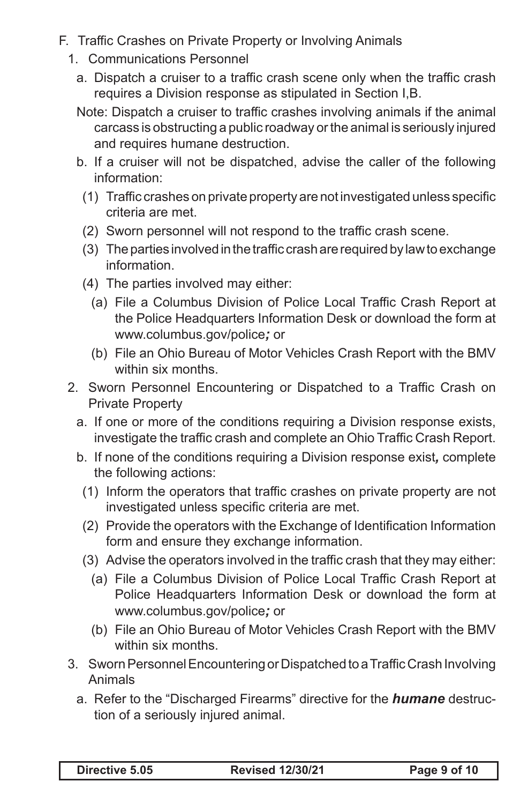- F. Traffic Crashes on Private Property or Involving Animals
	- 1. Communications Personnel
		- a. Dispatch a cruiser to a traffic crash scene only when the traffic crash requires a Division response as stipulated in Section I,B.
		- Note: Dispatch a cruiser to traffic crashes involving animals if the animal carcass is obstructing a public roadway or the animal is seriously injured and requires humane destruction.
		- b. If a cruiser will not be dispatched, advise the caller of the following information:
			- (1) Traffic crashes on private property are not investigated unless specific criteria are met.
			- (2) Sworn personnel will not respond to the traffic crash scene.
			- (3) The parties involved in the traffic crash are required by law to exchange information.
			- (4) The parties involved may either:
				- (a) File a Columbus Division of Police Local Traffic Crash Report at the Police Headquarters Information Desk or download the form at www.columbus.gov/police*;* or
				- (b) File an Ohio Bureau of Motor Vehicles Crash Report with the BMV within six months.
	- 2. Sworn Personnel Encountering or Dispatched to a Traffic Crash on Private Property
		- a. If one or more of the conditions requiring a Division response exists, investigate the traffic crash and complete an Ohio Traffic Crash Report.
		- b. If none of the conditions requiring a Division response exist*,* complete the following actions:
			- (1) Inform the operators that traffic crashes on private property are not investigated unless specific criteria are met.
			- (2) Provide the operators with the Exchange of Identification Information form and ensure they exchange information.
			- (3) Advise the operators involved in the traffic crash that they may either:
				- (a) File a Columbus Division of Police Local Traffic Crash Report at Police Headquarters Information Desk or download the form at www.columbus.gov/police*;* or
				- (b) File an Ohio Bureau of Motor Vehicles Crash Report with the BMV within six months.
	- 3. Sworn Personnel Encountering or Dispatched to a Traffic Crash Involving Animals
		- a. Refer to the "Discharged Firearms" directive for the **humane** destruction of a seriously injured animal.